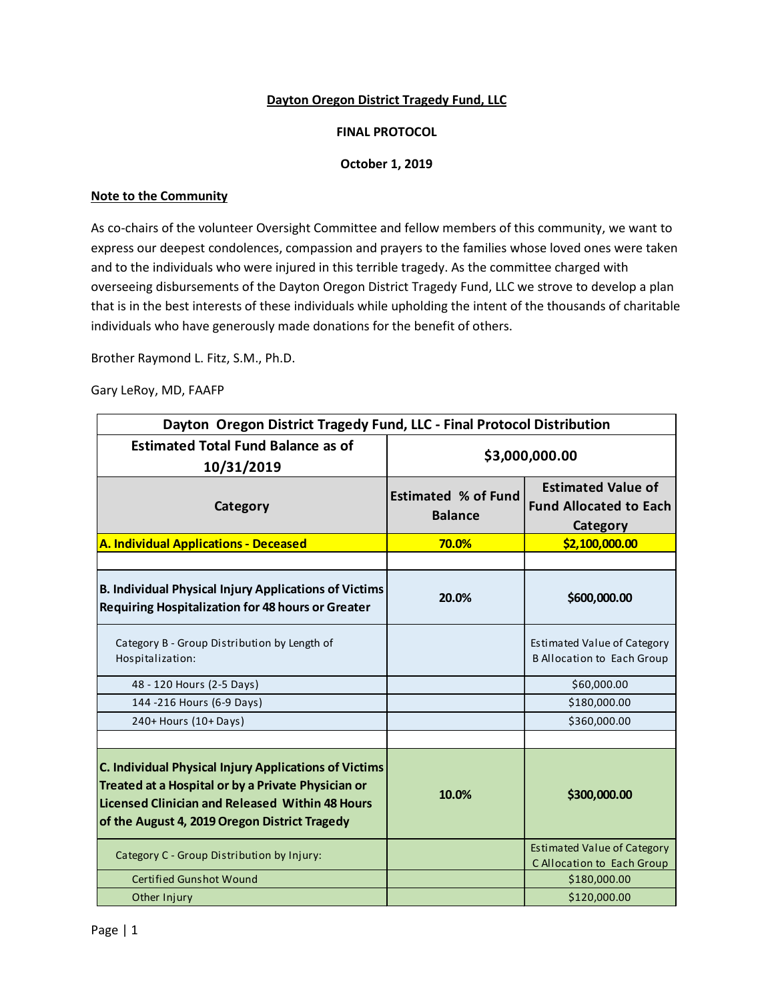### **Dayton Oregon District Tragedy Fund, LLC**

### **FINAL PROTOCOL**

### **October 1, 2019**

#### **Note to the Community**

As co-chairs of the volunteer Oversight Committee and fellow members of this community, we want to express our deepest condolences, compassion and prayers to the families whose loved ones were taken and to the individuals who were injured in this terrible tragedy. As the committee charged with overseeing disbursements of the Dayton Oregon District Tragedy Fund, LLC we strove to develop a plan that is in the best interests of these individuals while upholding the intent of the thousands of charitable individuals who have generously made donations for the benefit of others.

Brother Raymond L. Fitz, S.M., Ph.D.

Gary LeRoy, MD, FAAFP

| Dayton Oregon District Tragedy Fund, LLC - Final Protocol Distribution                                                                                                                                          |                                              |                                                                        |
|-----------------------------------------------------------------------------------------------------------------------------------------------------------------------------------------------------------------|----------------------------------------------|------------------------------------------------------------------------|
| <b>Estimated Total Fund Balance as of</b><br>10/31/2019                                                                                                                                                         | \$3,000,000.00                               |                                                                        |
| Category                                                                                                                                                                                                        | <b>Estimated % of Fund</b><br><b>Balance</b> | <b>Estimated Value of</b><br><b>Fund Allocated to Each</b><br>Category |
| A. Individual Applications - Deceased                                                                                                                                                                           | 70.0%                                        | \$2,100,000.00                                                         |
|                                                                                                                                                                                                                 |                                              |                                                                        |
| <b>B. Individual Physical Injury Applications of Victims</b><br><b>Requiring Hospitalization for 48 hours or Greater</b>                                                                                        | 20.0%                                        | \$600,000.00                                                           |
| Category B - Group Distribution by Length of<br>Hospitalization:                                                                                                                                                |                                              | Estimated Value of Category<br><b>B Allocation to Each Group</b>       |
| 48 - 120 Hours (2-5 Days)                                                                                                                                                                                       |                                              | \$60,000.00                                                            |
| 144 - 216 Hours (6-9 Days)                                                                                                                                                                                      |                                              | \$180,000.00                                                           |
| 240+ Hours (10+ Days)                                                                                                                                                                                           |                                              | \$360,000.00                                                           |
|                                                                                                                                                                                                                 |                                              |                                                                        |
| C. Individual Physical Injury Applications of Victims<br>Treated at a Hospital or by a Private Physician or<br>Licensed Clinician and Released Within 48 Hours<br>of the August 4, 2019 Oregon District Tragedy | 10.0%                                        | \$300,000.00                                                           |
| Category C - Group Distribution by Injury:                                                                                                                                                                      |                                              | <b>Estimated Value of Category</b><br>C Allocation to Each Group       |
| Certified Gunshot Wound                                                                                                                                                                                         |                                              | \$180,000.00                                                           |
| Other Injury                                                                                                                                                                                                    |                                              | \$120,000.00                                                           |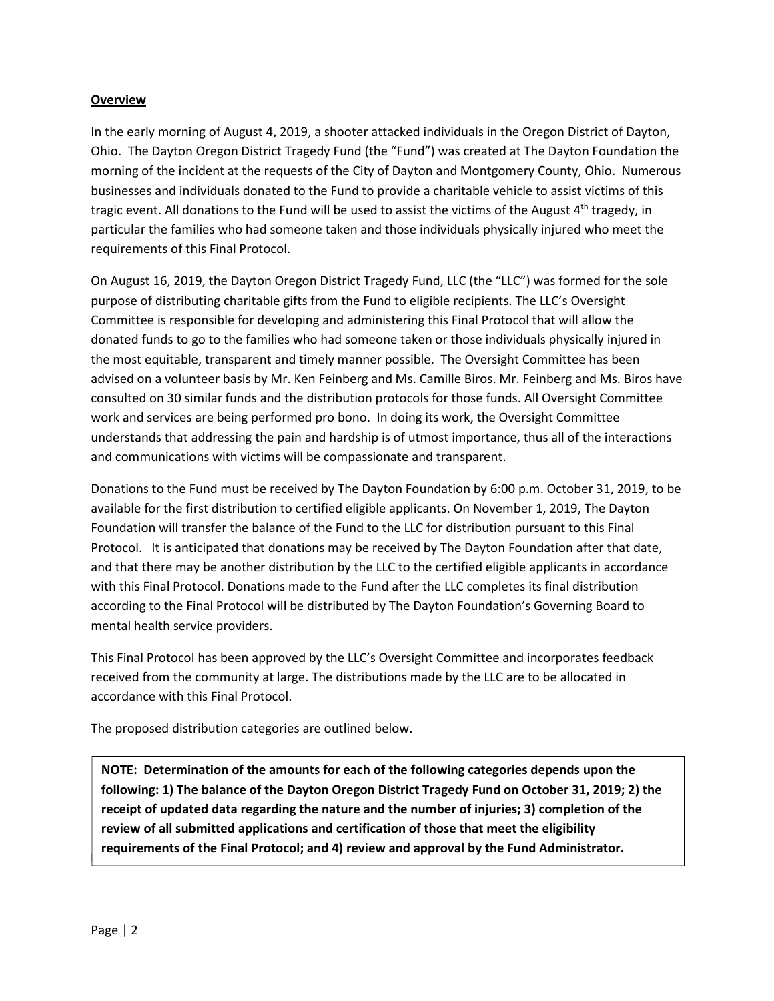#### **Overview**

In the early morning of August 4, 2019, a shooter attacked individuals in the Oregon District of Dayton, Ohio. The Dayton Oregon District Tragedy Fund (the "Fund") was created at The Dayton Foundation the morning of the incident at the requests of the City of Dayton and Montgomery County, Ohio. Numerous businesses and individuals donated to the Fund to provide a charitable vehicle to assist victims of this tragic event. All donations to the Fund will be used to assist the victims of the August  $4<sup>th</sup>$  tragedy, in particular the families who had someone taken and those individuals physically injured who meet the requirements of this Final Protocol.

On August 16, 2019, the Dayton Oregon District Tragedy Fund, LLC (the "LLC") was formed for the sole purpose of distributing charitable gifts from the Fund to eligible recipients. The LLC's Oversight Committee is responsible for developing and administering this Final Protocol that will allow the donated funds to go to the families who had someone taken or those individuals physically injured in the most equitable, transparent and timely manner possible. The Oversight Committee has been advised on a volunteer basis by Mr. Ken Feinberg and Ms. Camille Biros. Mr. Feinberg and Ms. Biros have consulted on 30 similar funds and the distribution protocols for those funds. All Oversight Committee work and services are being performed pro bono. In doing its work, the Oversight Committee understands that addressing the pain and hardship is of utmost importance, thus all of the interactions and communications with victims will be compassionate and transparent.

Donations to the Fund must be received by The Dayton Foundation by 6:00 p.m. October 31, 2019, to be available for the first distribution to certified eligible applicants. On November 1, 2019, The Dayton Foundation will transfer the balance of the Fund to the LLC for distribution pursuant to this Final Protocol. It is anticipated that donations may be received by The Dayton Foundation after that date, and that there may be another distribution by the LLC to the certified eligible applicants in accordance with this Final Protocol. Donations made to the Fund after the LLC completes its final distribution according to the Final Protocol will be distributed by The Dayton Foundation's Governing Board to mental health service providers.

This Final Protocol has been approved by the LLC's Oversight Committee and incorporates feedback received from the community at large. The distributions made by the LLC are to be allocated in accordance with this Final Protocol.

The proposed distribution categories are outlined below.

**Proposed Proposed Priori**<br>Standap review and approval by the Fund Administrator.<br>
<u>In requirements of the Final Protocol; and 4)</u> review and approval by the Fund Administrator. **NOTE: Determination of the amounts for each of the following categories depends upon the following: 1) The balance of the Dayton Oregon District Tragedy Fund on October 31, 2019; 2) the receipt of updated data regarding the nature and the number of injuries; 3) completion of the review of all submitted applications and certification of those that meet the eligibility**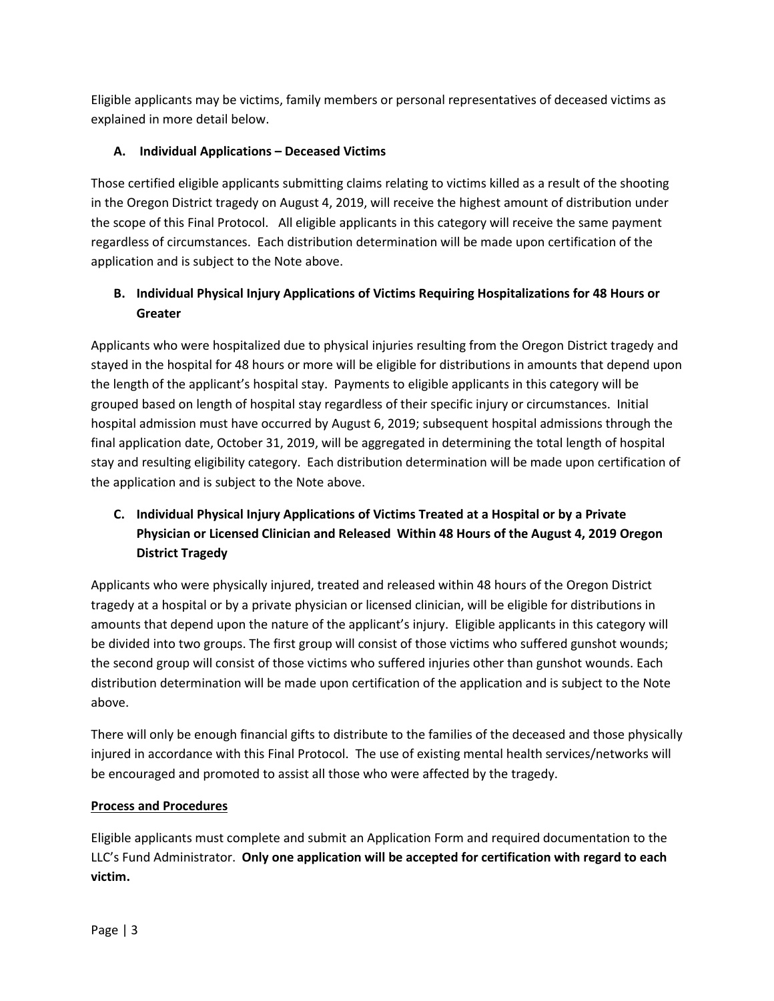Eligible applicants may be victims, family members or personal representatives of deceased victims as explained in more detail below.

## **A. Individual Applications – Deceased Victims**

Those certified eligible applicants submitting claims relating to victims killed as a result of the shooting in the Oregon District tragedy on August 4, 2019, will receive the highest amount of distribution under the scope of this Final Protocol. All eligible applicants in this category will receive the same payment regardless of circumstances. Each distribution determination will be made upon certification of the application and is subject to the Note above.

# **B. Individual Physical Injury Applications of Victims Requiring Hospitalizations for 48 Hours or Greater**

Applicants who were hospitalized due to physical injuries resulting from the Oregon District tragedy and stayed in the hospital for 48 hours or more will be eligible for distributions in amounts that depend upon the length of the applicant's hospital stay. Payments to eligible applicants in this category will be grouped based on length of hospital stay regardless of their specific injury or circumstances. Initial hospital admission must have occurred by August 6, 2019; subsequent hospital admissions through the final application date, October 31, 2019, will be aggregated in determining the total length of hospital stay and resulting eligibility category. Each distribution determination will be made upon certification of the application and is subject to the Note above.

# **C. Individual Physical Injury Applications of Victims Treated at a Hospital or by a Private Physician or Licensed Clinician and Released Within 48 Hours of the August 4, 2019 Oregon District Tragedy**

Applicants who were physically injured, treated and released within 48 hours of the Oregon District tragedy at a hospital or by a private physician or licensed clinician, will be eligible for distributions in amounts that depend upon the nature of the applicant's injury. Eligible applicants in this category will be divided into two groups. The first group will consist of those victims who suffered gunshot wounds; the second group will consist of those victims who suffered injuries other than gunshot wounds. Each distribution determination will be made upon certification of the application and is subject to the Note above.

There will only be enough financial gifts to distribute to the families of the deceased and those physically injured in accordance with this Final Protocol. The use of existing mental health services/networks will be encouraged and promoted to assist all those who were affected by the tragedy.

## **Process and Procedures**

Eligible applicants must complete and submit an Application Form and required documentation to the LLC's Fund Administrator. **Only one application will be accepted for certification with regard to each victim.**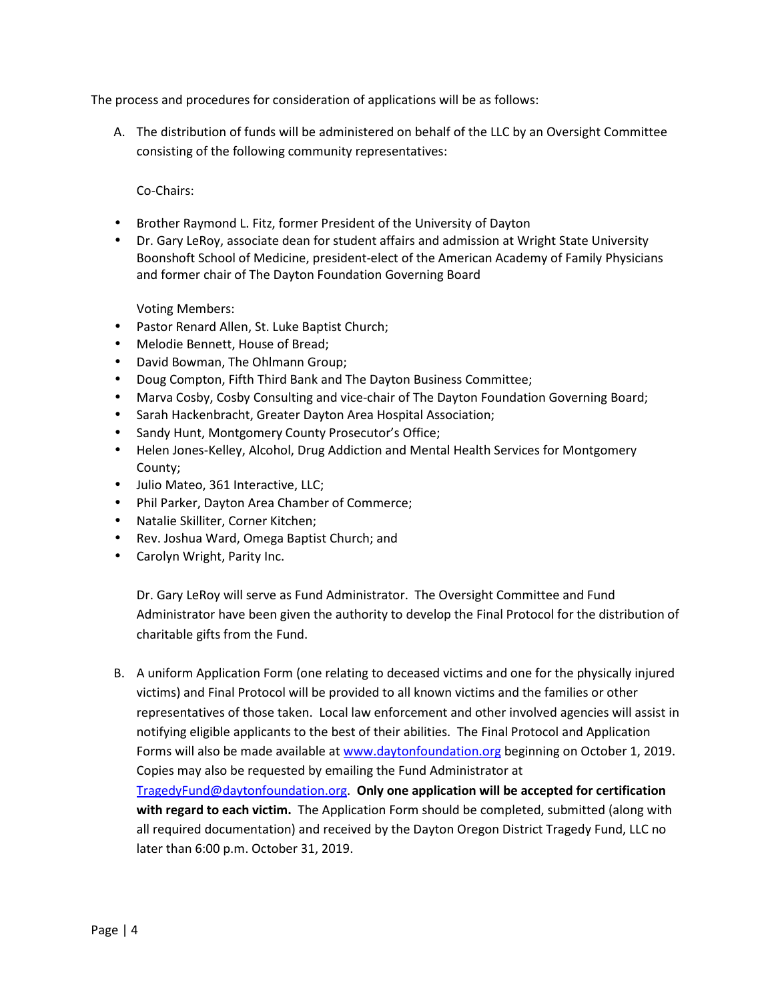The process and procedures for consideration of applications will be as follows:

A. The distribution of funds will be administered on behalf of the LLC by an Oversight Committee consisting of the following community representatives:

Co-Chairs:

- Brother Raymond L. Fitz, former President of the University of Dayton
- Dr. Gary LeRoy, associate dean for student affairs and admission at Wright State University Boonshoft School of Medicine, president-elect of the American Academy of Family Physicians and former chair of The Dayton Foundation Governing Board

Voting Members:

- Pastor Renard Allen, St. Luke Baptist Church;
- Melodie Bennett, House of Bread;
- David Bowman, The Ohlmann Group;
- Doug Compton, Fifth Third Bank and The Dayton Business Committee;
- Marva Cosby, Cosby Consulting and vice-chair of The Dayton Foundation Governing Board;
- Sarah Hackenbracht, Greater Dayton Area Hospital Association;
- Sandy Hunt, Montgomery County Prosecutor's Office;
- Helen Jones-Kelley, Alcohol, Drug Addiction and Mental Health Services for Montgomery County;
- Julio Mateo, 361 Interactive, LLC;
- Phil Parker, Dayton Area Chamber of Commerce;
- Natalie Skilliter, Corner Kitchen;
- Rev. Joshua Ward, Omega Baptist Church; and
- Carolyn Wright, Parity Inc.

Dr. Gary LeRoy will serve as Fund Administrator. The Oversight Committee and Fund Administrator have been given the authority to develop the Final Protocol for the distribution of charitable gifts from the Fund.

B. A uniform Application Form (one relating to deceased victims and one for the physically injured victims) and Final Protocol will be provided to all known victims and the families or other representatives of those taken. Local law enforcement and other involved agencies will assist in notifying eligible applicants to the best of their abilities. The Final Protocol and Application Forms will also be made available at www.daytonfoundation.org beginning on October 1, 2019. Copies may also be requested by emailing the Fund Administrator at TragedyFund@daytonfoundation.org. **Only one application will be accepted for certification with regard to each victim.** The Application Form should be completed, submitted (along with all required documentation) and received by the Dayton Oregon District Tragedy Fund, LLC no later than 6:00 p.m. October 31, 2019.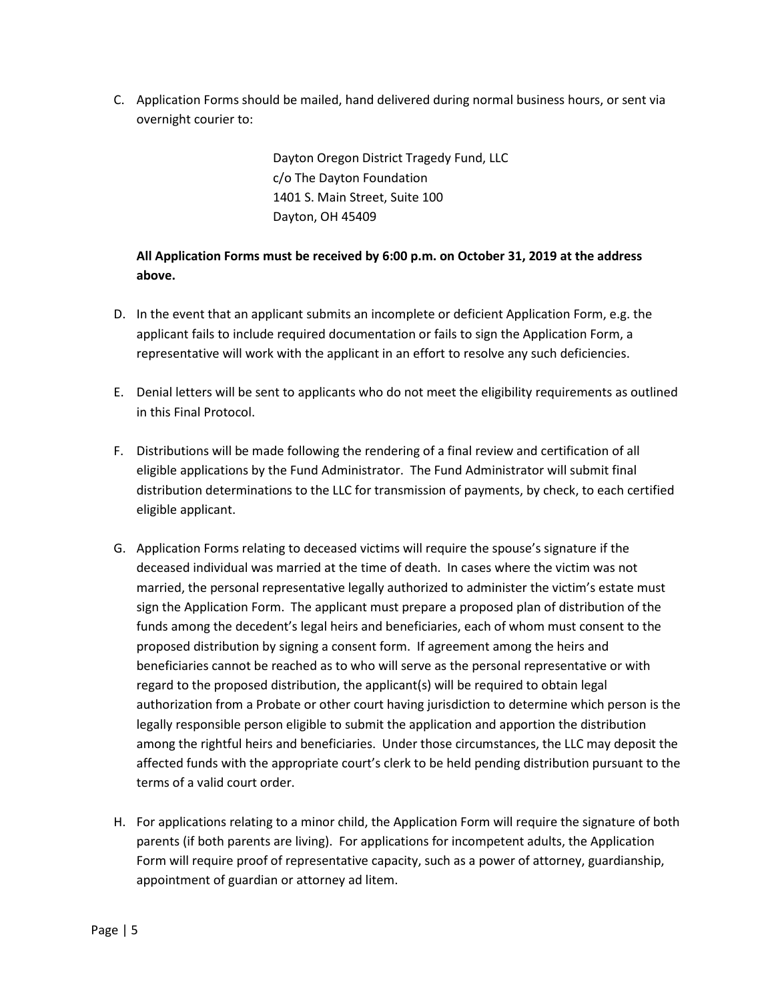C. Application Forms should be mailed, hand delivered during normal business hours, or sent via overnight courier to:

> Dayton Oregon District Tragedy Fund, LLC c/o The Dayton Foundation 1401 S. Main Street, Suite 100 Dayton, OH 45409

## **All Application Forms must be received by 6:00 p.m. on October 31, 2019 at the address above.**

- D. In the event that an applicant submits an incomplete or deficient Application Form, e.g. the applicant fails to include required documentation or fails to sign the Application Form, a representative will work with the applicant in an effort to resolve any such deficiencies.
- E. Denial letters will be sent to applicants who do not meet the eligibility requirements as outlined in this Final Protocol.
- F. Distributions will be made following the rendering of a final review and certification of all eligible applications by the Fund Administrator. The Fund Administrator will submit final distribution determinations to the LLC for transmission of payments, by check, to each certified eligible applicant.
- G. Application Forms relating to deceased victims will require the spouse's signature if the deceased individual was married at the time of death. In cases where the victim was not married, the personal representative legally authorized to administer the victim's estate must sign the Application Form. The applicant must prepare a proposed plan of distribution of the funds among the decedent's legal heirs and beneficiaries, each of whom must consent to the proposed distribution by signing a consent form. If agreement among the heirs and beneficiaries cannot be reached as to who will serve as the personal representative or with regard to the proposed distribution, the applicant(s) will be required to obtain legal authorization from a Probate or other court having jurisdiction to determine which person is the legally responsible person eligible to submit the application and apportion the distribution among the rightful heirs and beneficiaries. Under those circumstances, the LLC may deposit the affected funds with the appropriate court's clerk to be held pending distribution pursuant to the terms of a valid court order.
- H. For applications relating to a minor child, the Application Form will require the signature of both parents (if both parents are living). For applications for incompetent adults, the Application Form will require proof of representative capacity, such as a power of attorney, guardianship, appointment of guardian or attorney ad litem.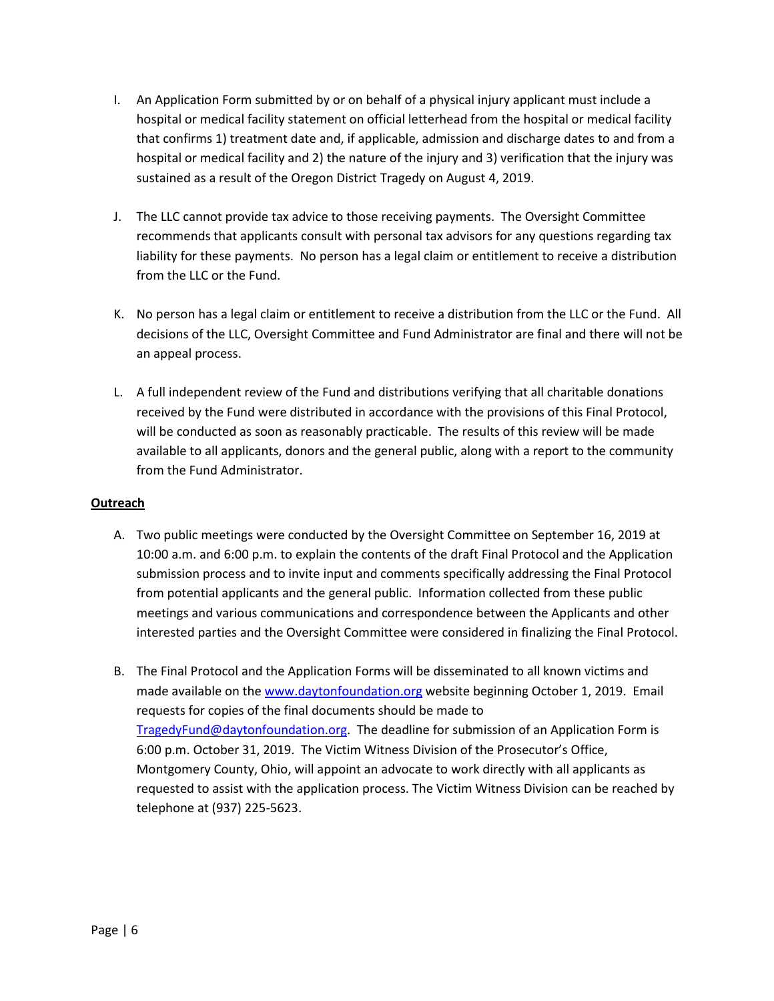- I. An Application Form submitted by or on behalf of a physical injury applicant must include a hospital or medical facility statement on official letterhead from the hospital or medical facility that confirms 1) treatment date and, if applicable, admission and discharge dates to and from a hospital or medical facility and 2) the nature of the injury and 3) verification that the injury was sustained as a result of the Oregon District Tragedy on August 4, 2019.
- J. The LLC cannot provide tax advice to those receiving payments. The Oversight Committee recommends that applicants consult with personal tax advisors for any questions regarding tax liability for these payments. No person has a legal claim or entitlement to receive a distribution from the LLC or the Fund.
- K. No person has a legal claim or entitlement to receive a distribution from the LLC or the Fund. All decisions of the LLC, Oversight Committee and Fund Administrator are final and there will not be an appeal process.
- L. A full independent review of the Fund and distributions verifying that all charitable donations received by the Fund were distributed in accordance with the provisions of this Final Protocol, will be conducted as soon as reasonably practicable. The results of this review will be made available to all applicants, donors and the general public, along with a report to the community from the Fund Administrator.

### **Outreach**

- A. Two public meetings were conducted by the Oversight Committee on September 16, 2019 at 10:00 a.m. and 6:00 p.m. to explain the contents of the draft Final Protocol and the Application submission process and to invite input and comments specifically addressing the Final Protocol from potential applicants and the general public. Information collected from these public meetings and various communications and correspondence between the Applicants and other interested parties and the Oversight Committee were considered in finalizing the Final Protocol.
- B. The Final Protocol and the Application Forms will be disseminated to all known victims and made available on the www.daytonfoundation.org website beginning October 1, 2019. Email requests for copies of the final documents should be made to TragedyFund@daytonfoundation.org. The deadline for submission of an Application Form is 6:00 p.m. October 31, 2019. The Victim Witness Division of the Prosecutor's Office, Montgomery County, Ohio, will appoint an advocate to work directly with all applicants as requested to assist with the application process. The Victim Witness Division can be reached by telephone at (937) 225-5623.